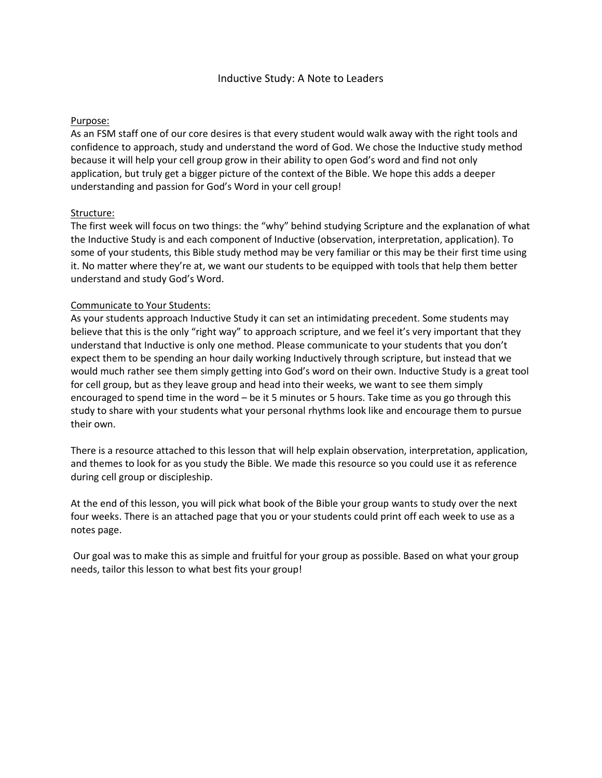## Purpose:

As an FSM staff one of our core desires is that every student would walk away with the right tools and confidence to approach, study and understand the word of God. We chose the Inductive study method because it will help your cell group grow in their ability to open God's word and find not only application, but truly get a bigger picture of the context of the Bible. We hope this adds a deeper understanding and passion for God's Word in your cell group!

## Structure:

The first week will focus on two things: the "why" behind studying Scripture and the explanation of what the Inductive Study is and each component of Inductive (observation, interpretation, application). To some of your students, this Bible study method may be very familiar or this may be their first time using it. No matter where they're at, we want our students to be equipped with tools that help them better understand and study God's Word.

## Communicate to Your Students:

As your students approach Inductive Study it can set an intimidating precedent. Some students may believe that this is the only "right way" to approach scripture, and we feel it's very important that they understand that Inductive is only one method. Please communicate to your students that you don't expect them to be spending an hour daily working Inductively through scripture, but instead that we would much rather see them simply getting into God's word on their own. Inductive Study is a great tool for cell group, but as they leave group and head into their weeks, we want to see them simply encouraged to spend time in the word – be it 5 minutes or 5 hours. Take time as you go through this study to share with your students what your personal rhythms look like and encourage them to pursue their own.

There is a resource attached to this lesson that will help explain observation, interpretation, application, and themes to look for as you study the Bible. We made this resource so you could use it as reference during cell group or discipleship.

At the end of this lesson, you will pick what book of the Bible your group wants to study over the next four weeks. There is an attached page that you or your students could print off each week to use as a notes page.

Our goal was to make this as simple and fruitful for your group as possible. Based on what your group needs, tailor this lesson to what best fits your group!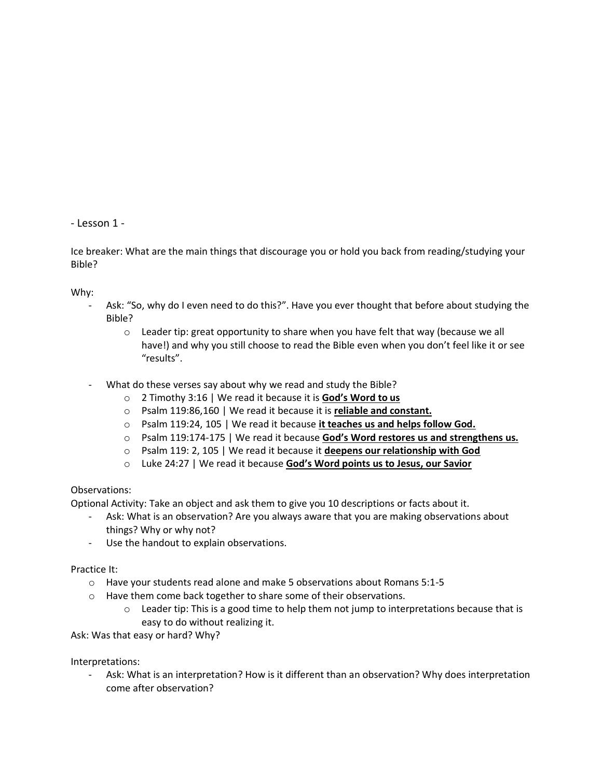- Lesson 1 -

Ice breaker: What are the main things that discourage you or hold you back from reading/studying your Bible?

Why:

- Ask: "So, why do I even need to do this?". Have you ever thought that before about studying the Bible?
	- $\circ$  Leader tip: great opportunity to share when you have felt that way (because we all have!) and why you still choose to read the Bible even when you don't feel like it or see "results".
- What do these verses say about why we read and study the Bible?
	- o 2 Timothy 3:16 | We read it because it is **God's Word to us**
	- o Psalm 119:86,160 | We read it because it is **reliable and constant.**
	- o Psalm 119:24, 105 | We read it because **it teaches us and helps follow God.**
	- o Psalm 119:174-175 | We read it because **God's Word restores us and strengthens us.**
	- o Psalm 119: 2, 105 | We read it because it **deepens our relationship with God**
	- o Luke 24:27 | We read it because **God's Word points us to Jesus, our Savior**

## Observations:

Optional Activity: Take an object and ask them to give you 10 descriptions or facts about it.

- Ask: What is an observation? Are you always aware that you are making observations about things? Why or why not?
- Use the handout to explain observations.

Practice It:

- o Have your students read alone and make 5 observations about Romans 5:1-5
- o Have them come back together to share some of their observations.
	- $\circ$  Leader tip: This is a good time to help them not jump to interpretations because that is easy to do without realizing it.

Ask: Was that easy or hard? Why?

Interpretations:

- Ask: What is an interpretation? How is it different than an observation? Why does interpretation come after observation?